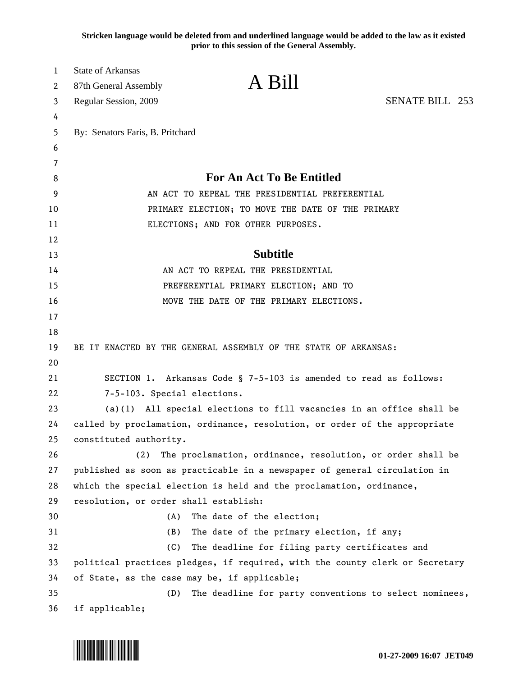**Stricken language would be deleted from and underlined language would be added to the law as it existed prior to this session of the General Assembly.**

| 1  | <b>State of Arkansas</b>                                                                         |                                                                              |                        |
|----|--------------------------------------------------------------------------------------------------|------------------------------------------------------------------------------|------------------------|
| 2  | 87th General Assembly                                                                            | A Bill                                                                       |                        |
| 3  | Regular Session, 2009                                                                            |                                                                              | <b>SENATE BILL 253</b> |
| 4  |                                                                                                  |                                                                              |                        |
| 5  | By: Senators Faris, B. Pritchard                                                                 |                                                                              |                        |
| 6  |                                                                                                  |                                                                              |                        |
| 7  |                                                                                                  |                                                                              |                        |
| 8  | <b>For An Act To Be Entitled</b>                                                                 |                                                                              |                        |
| 9  | AN ACT TO REPEAL THE PRESIDENTIAL PREFERENTIAL                                                   |                                                                              |                        |
| 10 | PRIMARY ELECTION; TO MOVE THE DATE OF THE PRIMARY                                                |                                                                              |                        |
| 11 |                                                                                                  | ELECTIONS; AND FOR OTHER PURPOSES.                                           |                        |
| 12 |                                                                                                  |                                                                              |                        |
| 13 |                                                                                                  | <b>Subtitle</b>                                                              |                        |
| 14 | AN ACT TO REPEAL THE PRESIDENTIAL                                                                |                                                                              |                        |
| 15 | PREFERENTIAL PRIMARY ELECTION; AND TO                                                            |                                                                              |                        |
| 16 |                                                                                                  | MOVE THE DATE OF THE PRIMARY ELECTIONS.                                      |                        |
| 17 |                                                                                                  |                                                                              |                        |
| 18 |                                                                                                  |                                                                              |                        |
| 19 |                                                                                                  | BE IT ENACTED BY THE GENERAL ASSEMBLY OF THE STATE OF ARKANSAS:              |                        |
| 20 |                                                                                                  |                                                                              |                        |
| 21 | SECTION 1. Arkansas Code § 7-5-103 is amended to read as follows:<br>7-5-103. Special elections. |                                                                              |                        |
| 22 |                                                                                                  |                                                                              |                        |
| 23 | $(a)(1)$ All special elections to fill vacancies in an office shall be                           |                                                                              |                        |
| 24 |                                                                                                  | called by proclamation, ordinance, resolution, or order of the appropriate   |                        |
| 25 | constituted authority.                                                                           |                                                                              |                        |
| 26 | (2)                                                                                              | The proclamation, ordinance, resolution, or order shall be                   |                        |
| 27 |                                                                                                  | published as soon as practicable in a newspaper of general circulation in    |                        |
| 28 |                                                                                                  | which the special election is held and the proclamation, ordinance,          |                        |
| 29 | resolution, or order shall establish:                                                            |                                                                              |                        |
| 30 | (A)                                                                                              | The date of the election;                                                    |                        |
| 31 | (B)                                                                                              | The date of the primary election, if any;                                    |                        |
| 32 | (C)                                                                                              | The deadline for filing party certificates and                               |                        |
| 33 |                                                                                                  | political practices pledges, if required, with the county clerk or Secretary |                        |
| 34 | of State, as the case may be, if applicable;                                                     |                                                                              |                        |
| 35 | (D)                                                                                              | The deadline for party conventions to select nominees,                       |                        |
| 36 | if applicable;                                                                                   |                                                                              |                        |

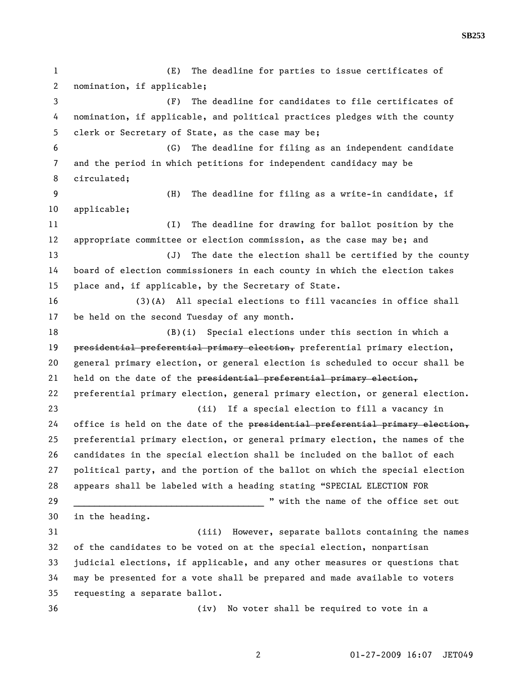1 (E) The deadline for parties to issue certificates of 2 nomination, if applicable; 3 (F) The deadline for candidates to file certificates of 4 nomination, if applicable, and political practices pledges with the county 5 clerk or Secretary of State, as the case may be; 6 (G) The deadline for filing as an independent candidate 7 and the period in which petitions for independent candidacy may be 8 circulated; 9 (H) The deadline for filing as a write-in candidate, if 10 applicable; 11 (I) The deadline for drawing for ballot position by the 12 appropriate committee or election commission, as the case may be; and 13 (J) The date the election shall be certified by the county 14 board of election commissioners in each county in which the election takes 15 place and, if applicable, by the Secretary of State. 16 (3)(A) All special elections to fill vacancies in office shall 17 be held on the second Tuesday of any month. 18 (B)(i) Special elections under this section in which a 19 presidential preferential primary election, preferential primary election, 20 general primary election, or general election is scheduled to occur shall be 21 held on the date of the presidential preferential primary election, 22 preferential primary election, general primary election, or general election. 23 (ii) If a special election to fill a vacancy in 24 office is held on the date of the presidential preferential primary election, 25 preferential primary election, or general primary election, the names of the 26 candidates in the special election shall be included on the ballot of each 27 political party, and the portion of the ballot on which the special election 28 appears shall be labeled with a heading stating "SPECIAL ELECTION FOR 29 \_\_\_\_\_\_\_\_\_\_\_\_\_\_\_\_\_\_\_\_\_\_\_\_\_\_\_\_\_\_\_\_\_\_\_\_\_ " with the name of the office set out 30 in the heading. 31 (iii) However, separate ballots containing the names 32 of the candidates to be voted on at the special election, nonpartisan 33 judicial elections, if applicable, and any other measures or questions that 34 may be presented for a vote shall be prepared and made available to voters 35 requesting a separate ballot. 36 (iv) No voter shall be required to vote in a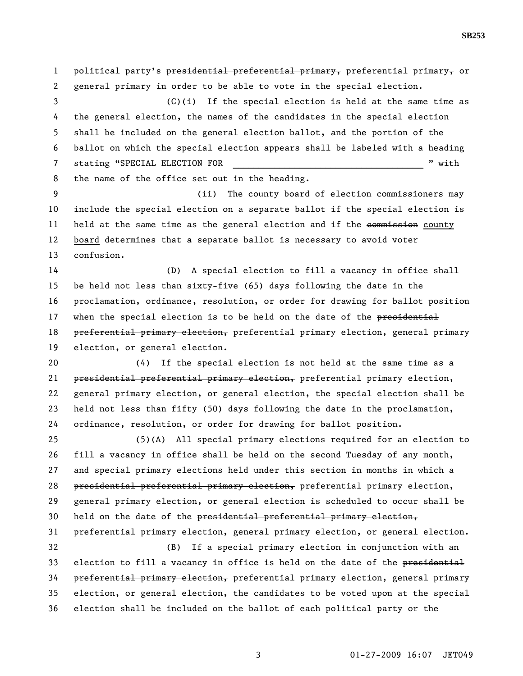1 political party's presidential preferential primary, preferential primary, or 2 general primary in order to be able to vote in the special election.

3 (C)(i) If the special election is held at the same time as 4 the general election, the names of the candidates in the special election 5 shall be included on the general election ballot, and the portion of the 6 ballot on which the special election appears shall be labeled with a heading 7 stating "SPECIAL ELECTION FOR  $\blacksquare$ 8 the name of the office set out in the heading.

9 (ii) The county board of election commissioners may 10 include the special election on a separate ballot if the special election is 11 held at the same time as the general election and if the commission county 12 board determines that a separate ballot is necessary to avoid voter 13 confusion.

14 (D) A special election to fill a vacancy in office shall 15 be held not less than sixty-five (65) days following the date in the 16 proclamation, ordinance, resolution, or order for drawing for ballot position 17 when the special election is to be held on the date of the presidential 18 preferential primary election, preferential primary election, general primary 19 election, or general election.

20 (4) If the special election is not held at the same time as a 21 presidential preferential primary election, preferential primary election, 22 general primary election, or general election, the special election shall be 23 held not less than fifty (50) days following the date in the proclamation, 24 ordinance, resolution, or order for drawing for ballot position.

25 (5)(A) All special primary elections required for an election to 26 fill a vacancy in office shall be held on the second Tuesday of any month, 27 and special primary elections held under this section in months in which a 28 presidential preferential primary election, preferential primary election, 29 general primary election, or general election is scheduled to occur shall be 30 held on the date of the presidential preferential primary election, 31 preferential primary election, general primary election, or general election. 32 (B) If a special primary election in conjunction with an 33 election to fill a vacancy in office is held on the date of the presidential

34 preferential primary election, preferential primary election, general primary 35 election, or general election, the candidates to be voted upon at the special 36 election shall be included on the ballot of each political party or the

3 01-27-2009 16:07 JET049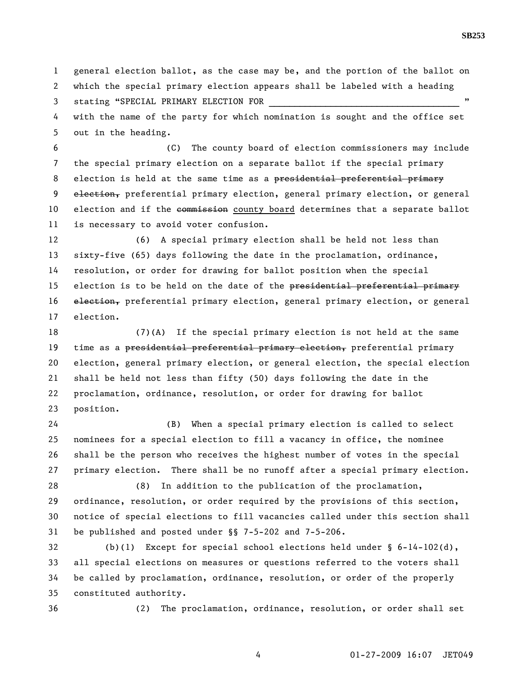1 general election ballot, as the case may be, and the portion of the ballot on 2 which the special primary election appears shall be labeled with a heading

3 stating "SPECIAL PRIMARY ELECTION FOR

4 with the name of the party for which nomination is sought and the office set 5 out in the heading.

6 (C) The county board of election commissioners may include 7 the special primary election on a separate ballot if the special primary 8 election is held at the same time as a presidential preferential primary 9 election, preferential primary election, general primary election, or general 10 election and if the commission county board determines that a separate ballot 11 is necessary to avoid voter confusion.

12 (6) A special primary election shall be held not less than 13 sixty-five (65) days following the date in the proclamation, ordinance, 14 resolution, or order for drawing for ballot position when the special 15 election is to be held on the date of the presidential preferential primary 16 election, preferential primary election, general primary election, or general 17 election.

18 (7)(A) If the special primary election is not held at the same 19 time as a presidential preferential primary election, preferential primary 20 election, general primary election, or general election, the special election 21 shall be held not less than fifty (50) days following the date in the 22 proclamation, ordinance, resolution, or order for drawing for ballot 23 position.

24 (B) When a special primary election is called to select 25 nominees for a special election to fill a vacancy in office, the nominee 26 shall be the person who receives the highest number of votes in the special 27 primary election. There shall be no runoff after a special primary election.

28 (8) In addition to the publication of the proclamation, 29 ordinance, resolution, or order required by the provisions of this section, 30 notice of special elections to fill vacancies called under this section shall 31 be published and posted under §§ 7-5-202 and 7-5-206.

32 (b)(1) Except for special school elections held under § 6-14-102(d), 33 all special elections on measures or questions referred to the voters shall 34 be called by proclamation, ordinance, resolution, or order of the properly 35 constituted authority.

36 (2) The proclamation, ordinance, resolution, or order shall set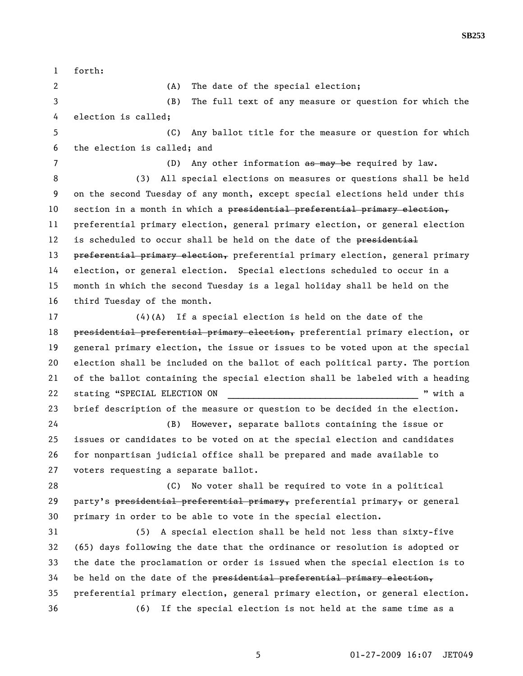**SB253** 

1 forth: 2 (A) The date of the special election; 3 (B) The full text of any measure or question for which the 4 election is called; 5 (C) Any ballot title for the measure or question for which 6 the election is called; and 7 (D) Any other information as may be required by law. 8 (3) All special elections on measures or questions shall be held 9 on the second Tuesday of any month, except special elections held under this 10 section in a month in which a presidential preferential primary election, 11 preferential primary election, general primary election, or general election 12 is scheduled to occur shall be held on the date of the presidential 13 preferential primary election, preferential primary election, general primary 14 election, or general election. Special elections scheduled to occur in a 15 month in which the second Tuesday is a legal holiday shall be held on the 16 third Tuesday of the month. 17 (4)(A) If a special election is held on the date of the 18 presidential preferential primary election, preferential primary election, or 19 general primary election, the issue or issues to be voted upon at the special 20 election shall be included on the ballot of each political party. The portion 21 of the ballot containing the special election shall be labeled with a heading 22 stating "SPECIAL ELECTION ON  $\blacksquare$  " with a 23 brief description of the measure or question to be decided in the election. 24 (B) However, separate ballots containing the issue or 25 issues or candidates to be voted on at the special election and candidates 26 for nonpartisan judicial office shall be prepared and made available to 27 voters requesting a separate ballot. 28 (C) No voter shall be required to vote in a political 29 party's presidential preferential primary, preferential primary, or general 30 primary in order to be able to vote in the special election. 31 (5) A special election shall be held not less than sixty-five 32 (65) days following the date that the ordinance or resolution is adopted or 33 the date the proclamation or order is issued when the special election is to 34 be held on the date of the presidential preferential primary election, 35 preferential primary election, general primary election, or general election. 36 (6) If the special election is not held at the same time as a

5 01-27-2009 16:07 JET049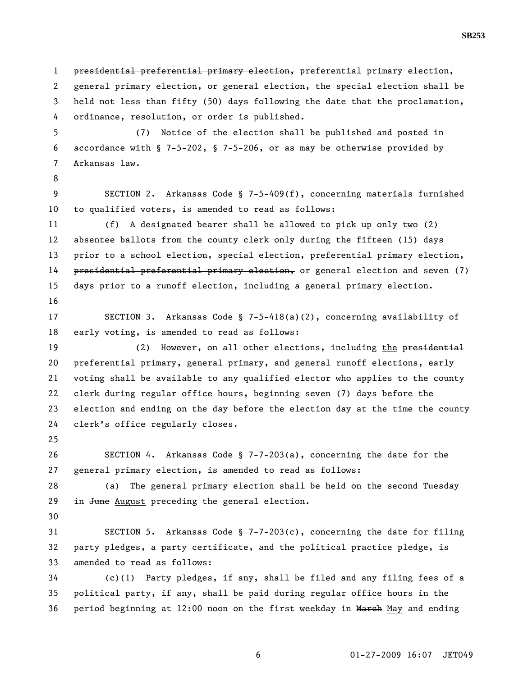1 presidential preferential primary election, preferential primary election, 2 general primary election, or general election, the special election shall be 3 held not less than fifty (50) days following the date that the proclamation, 4 ordinance, resolution, or order is published. 5 (7) Notice of the election shall be published and posted in 6 accordance with § 7-5-202, § 7-5-206, or as may be otherwise provided by 7 Arkansas law. 8 9 SECTION 2. Arkansas Code § 7-5-409(f), concerning materials furnished 10 to qualified voters, is amended to read as follows: 11 (f) A designated bearer shall be allowed to pick up only two (2) 12 absentee ballots from the county clerk only during the fifteen (15) days 13 prior to a school election, special election, preferential primary election, 14 presidential preferential primary election, or general election and seven (7) 15 days prior to a runoff election, including a general primary election. 16 17 SECTION 3. Arkansas Code § 7-5-418(a)(2), concerning availability of 18 early voting, is amended to read as follows: 19 (2) However, on all other elections, including the presidential 20 preferential primary, general primary, and general runoff elections, early 21 voting shall be available to any qualified elector who applies to the county 22 clerk during regular office hours, beginning seven (7) days before the 23 election and ending on the day before the election day at the time the county 24 clerk's office regularly closes. 25 26 SECTION 4. Arkansas Code § 7-7-203(a), concerning the date for the 27 general primary election, is amended to read as follows: 28 (a) The general primary election shall be held on the second Tuesday 29 in June August preceding the general election. 30 31 SECTION 5. Arkansas Code § 7-7-203(c), concerning the date for filing 32 party pledges, a party certificate, and the political practice pledge, is 33 amended to read as follows: 34 (c)(1) Party pledges, if any, shall be filed and any filing fees of a 35 political party, if any, shall be paid during regular office hours in the 36 period beginning at 12:00 noon on the first weekday in March May and ending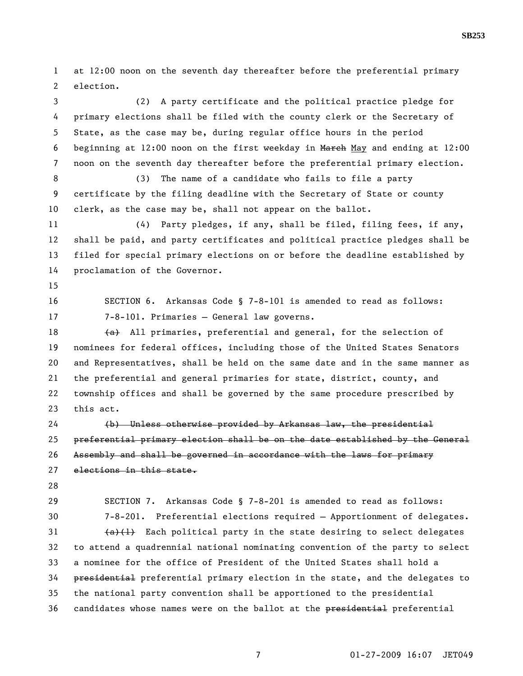1 at 12:00 noon on the seventh day thereafter before the preferential primary 2 election.

3 (2) A party certificate and the political practice pledge for 4 primary elections shall be filed with the county clerk or the Secretary of 5 State, as the case may be, during regular office hours in the period 6 beginning at 12:00 noon on the first weekday in March May and ending at 12:00 7 noon on the seventh day thereafter before the preferential primary election.

8 (3) The name of a candidate who fails to file a party 9 certificate by the filing deadline with the Secretary of State or county 10 clerk, as the case may be, shall not appear on the ballot.

11 (4) Party pledges, if any, shall be filed, filing fees, if any, 12 shall be paid, and party certificates and political practice pledges shall be 13 filed for special primary elections on or before the deadline established by 14 proclamation of the Governor.

15

16 SECTION 6. Arkansas Code § 7-8-101 is amended to read as follows: 17 7-8-101. Primaries — General law governs.

18  $(a)$  All primaries, preferential and general, for the selection of 19 nominees for federal offices, including those of the United States Senators 20 and Representatives, shall be held on the same date and in the same manner as 21 the preferential and general primaries for state, district, county, and 22 township offices and shall be governed by the same procedure prescribed by 23 this act.

24 (b) Unless otherwise provided by Arkansas law, the presidential 25 preferential primary election shall be on the date established by the General 26 Assembly and shall be governed in accordance with the laws for primary 27 elections in this state.

28

29 SECTION 7. Arkansas Code § 7-8-201 is amended to read as follows: 30 7-8-201. Preferential elections required – Apportionment of delegates.  $\{a\}(1)$  Each political party in the state desiring to select delegates 32 to attend a quadrennial national nominating convention of the party to select 33 a nominee for the office of President of the United States shall hold a 34 **presidential** preferential primary election in the state, and the delegates to 35 the national party convention shall be apportioned to the presidential 36 candidates whose names were on the ballot at the presidential preferential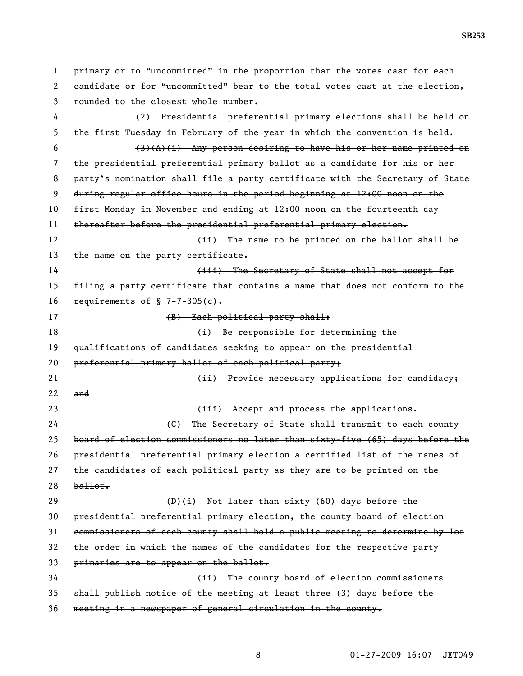1 primary or to "uncommitted" in the proportion that the votes cast for each 2 candidate or for "uncommitted" bear to the total votes cast at the election, 3 rounded to the closest whole number. 4 (2) Presidential preferential primary elections shall be held on 5 the first Tuesday in February of the year in which the convention is held. 6  $(3)(A)(i)$  Any person desiring to have his or her name printed on 7 the presidential preferential primary ballot as a candidate for his or her 8 party's nomination shall file a party certificate with the Secretary of State 9 during regular office hours in the period beginning at 12:00 noon on the 10 first Monday in November and ending at 12:00 noon on the fourteenth day 11 thereafter before the presidential preferential primary election. 12 (ii) The name to be printed on the ballot shall be 13 the name on the party certificate. 14 **14 (iii)** The Secretary of State shall not accept for 15 filing a party certificate that contains a name that does not conform to the 16 requirements of  $$7-7-305(e)$ . 17 (B) Each political party shall: 18 **(i)** Be responsible for determining the 19 qualifications of candidates seeking to appear on the presidential 20 preferential primary ballot of each political party; 21 (ii) Provide necessary applications for candidacy;  $22$  and 23 (iii) Accept and process the applications. 24 (C) The Secretary of State shall transmit to each county 25 board of election commissioners no later than sixty-five (65) days before the 26 presidential preferential primary election a certified list of the names of 27 the candidates of each political party as they are to be printed on the  $28$  ballot. 29 (D)(i) Not later than sixty (60) days before the 30 presidential preferential primary election, the county board of election 31 commissioners of each county shall hold a public meeting to determine by lot 32 the order in which the names of the candidates for the respective party 33 primaries are to appear on the ballot. 34 (ii) The county board of election commissioners 35 shall publish notice of the meeting at least three (3) days before the

36 meeting in a newspaper of general circulation in the county.